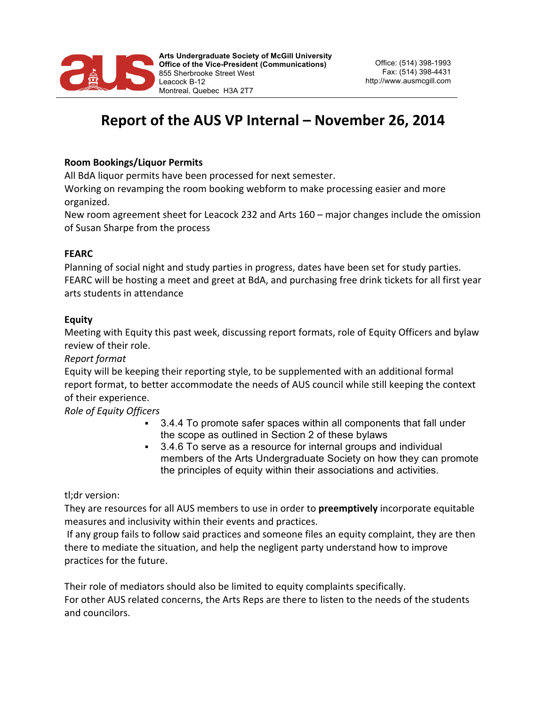

# **Report of the AUS VP Internal – November 26, 2014**

## **Room Bookings/Liquor Permits**

All BdA liquor permits have been processed for next semester.

Working on revamping the room booking webform to make processing easier and more organized.

New room agreement sheet for Leacock 232 and Arts 160 – major changes include the omission of Susan Sharpe from the process

#### **FEARC**

Planning of social night and study parties in progress, dates have been set for study parties. FEARC will be hosting a meet and greet at BdA, and purchasing free drink tickets for all first year arts students in attendance

#### **Equity**

Meeting with Equity this past week, discussing report formats, role of Equity Officers and bylaw review of their role.

## *Report format*

Equity will be keeping their reporting style, to be supplemented with an additional formal report format, to better accommodate the needs of AUS council while still keeping the context of their experience.

*Role of Equity Officers*

- § 3.4.4 To promote safer spaces within all components that fall under the scope as outlined in Section 2 of these bylaws
- 3.4.6 To serve as a resource for internal groups and individual members of the Arts Undergraduate Society on how they can promote the principles of equity within their associations and activities.

tl;dr version:

They are resources for all AUS members to use in order to **preemptively** incorporate equitable measures and inclusivity within their events and practices.

If any group fails to follow said practices and someone files an equity complaint, they are then there to mediate the situation, and help the negligent party understand how to improve practices for the future.

Their role of mediators should also be limited to equity complaints specifically. For other AUS related concerns, the Arts Reps are there to listen to the needs of the students and councilors.